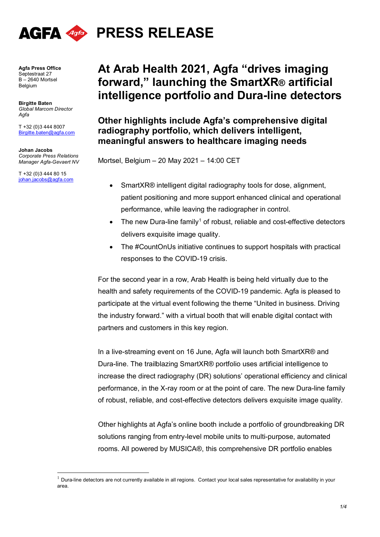

**Agfa Press Office** Septestraat 27 B – 2640 Mortsel Belgium

**Birgitte Baten** *Global Marcom Director Agfa* 

T +32 (0)3 444 8007 Birgitte.baten@agfa.com

**Johan Jacobs**  *Corporate Press Relations Manager Agfa-Gevaert NV*

T +32 (0)3 444 80 15 [johan.jacobs@agfa.com](mailto:johan.jacobs@agfa.com)

# **At Arab Health 2021, Agfa "drives imaging forward, " launching the SmartXR® artificial intelligence portfolio and Dura-line detectors**

**Other highlights include Agfa's comprehensive digital radiography portfolio, which delivers intelligent, meaningful answers to healthcare imaging needs**

Mortsel, Belgium – 20 May 2021 – 14:00 CET

- SmartXR® intelligent digital radiography tools for dose, alignment, patient positioning and more support enhanced clinical and operational performance, while leaving the radiographer in control.
- The new Dura-line family<sup>[1](#page-0-0)</sup> of robust, reliable and cost-effective detectors delivers exquisite image quality.
- The #CountOnUs initiative continues to support hospitals with practical responses to the COVID-19 crisis.

For the second year in a row, Arab Health is being held virtually due to the health and safety requirements of the COVID-19 pandemic. Agfa is pleased to participate at the virtual event following the theme "United in business. Driving the industry forward." with a virtual booth that will enable digital contact with partners and customers in this key region.

In a live-streaming event on 16 June, Agfa will launch both SmartXR® and Dura-line. The trailblazing SmartXR® portfolio uses artificial intelligence to increase the direct radiography (DR) solutions' operational efficiency and clinical performance, in the X-ray room or at the point of care. The new Dura-line family of robust, reliable, and cost-effective detectors delivers exquisite image quality.

Other highlights at Agfa's online booth include a portfolio of groundbreaking DR solutions ranging from entry-level mobile units to multi-purpose, automated rooms. All powered by MUSICA®, this comprehensive DR portfolio enables

<span id="page-0-0"></span> $1$  Dura-line detectors are not currently available in all regions. Contact your local sales representative for availability in your area.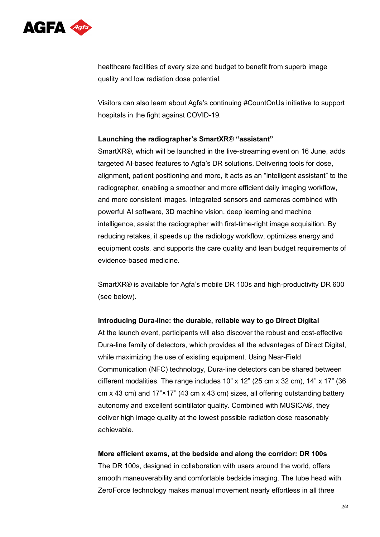

healthcare facilities of every size and budget to benefit from superb image quality and low radiation dose potential.

Visitors can also learn about Agfa's continuing #CountOnUs initiative to support hospitals in the fight against COVID-19.

# **Launching the radiographer's SmartXR**® **"assistant"**

SmartXR®, which will be launched in the live-streaming event on 16 June, adds targeted AI-based features to Agfa's DR solutions. Delivering tools for dose, alignment, patient positioning and more, it acts as an "intelligent assistant" to the radiographer, enabling a smoother and more efficient daily imaging workflow, and more consistent images. Integrated sensors and cameras combined with powerful AI software, 3D machine vision, deep learning and machine intelligence, assist the radiographer with first-time-right image acquisition. By reducing retakes, it speeds up the radiology workflow, optimizes energy and equipment costs, and supports the care quality and lean budget requirements of evidence-based medicine.

SmartXR® is available for Agfa's mobile DR 100s and high-productivity DR 600 (see below).

#### **Introducing Dura-line: the durable, reliable way to go Direct Digital**

At the launch event, participants will also discover the robust and cost-effective Dura-line family of detectors, which provides all the advantages of Direct Digital, while maximizing the use of existing equipment. Using Near-Field Communication (NFC) technology, Dura-line detectors can be shared between different modalities. The range includes 10" x 12" (25 cm x 32 cm), 14" x 17" (36 cm x 43 cm) and 17"×17" (43 cm x 43 cm) sizes, all offering outstanding battery autonomy and excellent scintillator quality. Combined with MUSICA®, they deliver high image quality at the lowest possible radiation dose reasonably achievable.

#### **More efficient exams, at the bedside and along the corridor: DR 100s**

The DR 100s, designed in collaboration with users around the world, offers smooth maneuverability and comfortable bedside imaging. The tube head with ZeroForce technology makes manual movement nearly effortless in all three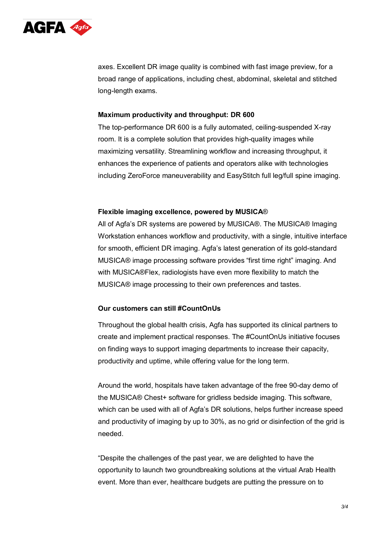

axes. Excellent DR image quality is combined with fast image preview, for a broad range of applications, including chest, abdominal, skeletal and stitched long-length exams.

# **Maximum productivity and throughput: DR 600**

The top-performance DR 600 is a fully automated, ceiling-suspended X-ray room. It is a complete solution that provides high-quality images while maximizing versatility. Streamlining workflow and increasing throughput, it enhances the experience of patients and operators alike with technologies including ZeroForce maneuverability and EasyStitch full leg/full spine imaging.

#### **Flexible imaging excellence, powered by MUSICA**®

All of Agfa's DR systems are powered by MUSICA®. The MUSICA® Imaging Workstation enhances workflow and productivity, with a single, intuitive interface for smooth, efficient DR imaging. Agfa's latest generation of its gold-standard MUSICA® image processing software provides "first time right" imaging. And with MUSICA®Flex, radiologists have even more flexibility to match the MUSICA® image processing to their own preferences and tastes.

# **Our customers can still #CountOnUs**

Throughout the global health crisis, Agfa has supported its clinical partners to create and implement practical responses. The #CountOnUs initiative focuses on finding ways to support imaging departments to increase their capacity, productivity and uptime, while offering value for the long term.

Around the world, hospitals have taken advantage of the free 90-day demo of the MUSICA® Chest+ software for gridless bedside imaging. This software, which can be used with all of Agfa's DR solutions, helps further increase speed and productivity of imaging by up to 30%, as no grid or disinfection of the grid is needed.

"Despite the challenges of the past year, we are delighted to have the opportunity to launch two groundbreaking solutions at the virtual Arab Health event. More than ever, healthcare budgets are putting the pressure on to